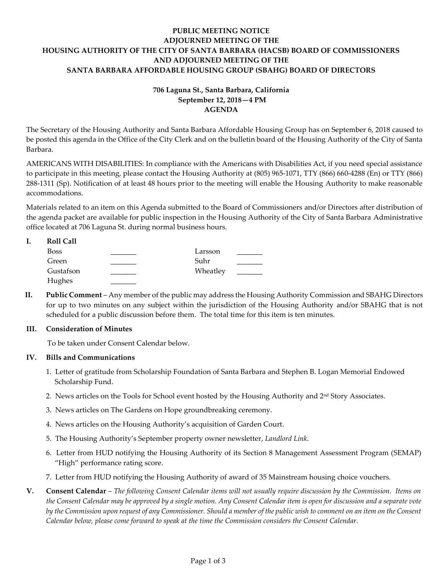# **PUBLIC MEETING NOTICE ADJOURNED MEETING OF THE HOUSING AUTHORITY OF THE CITY OF SANTA BARBARA (HACSB) BOARD OF COMMISSIONERS AND ADJOURNED MEETING OF THE SANTA BARBARA AFFORDABLE HOUSING GROUP (SBAHG) BOARD OF DIRECTORS**

# **706 Laguna St., Santa Barbara, California September 12, 2018—4 PM AGENDA**

The Secretary of the Housing Authority and Santa Barbara Affordable Housing Group has on September 6, 2018 caused to be posted this agenda in the Office of the City Clerk and on the bulletin board of the Housing Authority of the City of Santa Barbara.

AMERICANS WITH DISABILITIES: In compliance with the Americans with Disabilities Act, if you need special assistance to participate in this meeting, please contact the Housing Authority at (805) 965-1071, TTY (866) 660-4288 (En) or TTY (866) 288-1311 (Sp). Notification of at least 48 hours prior to the meeting will enable the Housing Authority to make reasonable accommodations.

Materials related to an item on this Agenda submitted to the Board of Commissioners and/or Directors after distribution of the agenda packet are available for public inspection in the Housing Authority of the City of Santa Barbara Administrative office located at 706 Laguna St. during normal business hours.

| <b>Roll Call</b> |          |  |
|------------------|----------|--|
| <b>Boss</b>      | Larsson  |  |
| Green            | Suhr     |  |
| Gustafson        | Wheatley |  |
| Hughes           |          |  |

**II. Public Comment** – Any member of the public may address the Housing Authority Commission and SBAHG Directors for up to two minutes on any subject within the jurisdiction of the Housing Authority and/or SBAHG that is not scheduled for a public discussion before them. The total time for this item is ten minutes.

# **III. Consideration of Minutes**

To be taken under Consent Calendar below.

# **IV. Bills and Communications**

- [1. Letter of gratitude from Scholarship Foundation of Santa Barbara and Stephen B. Logan Memorial Endowed](https://hacsb.org/download/meetings_2018/items/09_september/Item-IV.1.pdf)  Scholarship Fund.
- 2. News articles on the Tools for School event hosted by the Housing Authority and  $2<sup>nd</sup>$  Story Associates.
- [3. News articles on The Gardens on Hope](https://hacsb.org/download/meetings_2018/items/09_september/Item-IV.3.pdf) groundbreaking ceremony.
- 4[. News articles on the Housing Authority's acquisition of Garden Court.](https://hacsb.org/download/meetings_2018/items/09_september/Item-IV.4.pdf)
- [5. The Housing Authority's September property owner newsletter](https://hacsb.org/download/meetings_2018/items/09_september/Item-IV.5.pdf), *Landlord Link*.
- [6. Letter from HUD notifying the Housing Authority of its Section 8 Management Assessment Program \(SEMAP\)](https://hacsb.org/download/meetings_2018/items/09_september/Item-IV.6.pdf)  "High" performance rating score.
- [7. Letter from HUD notifying the Housing Authority of award of 35 Mainstream housing choice vouchers.](https://hacsb.org/download/meetings_2018/items/09_september/Item-IV.7.pdf)
- **V. Consent Calendar** *The following Consent Calendar items will not usually require discussion by the Commission. Items on the Consent Calendar may be approved by a single motion. Any Consent Calendar item is open for discussion and a separate vote by the Commission upon request of any Commissioner. Should a member of the public wish to comment on an item on the Consent Calendar below, please come forward to speak at the time the Commission considers the Consent Calendar.*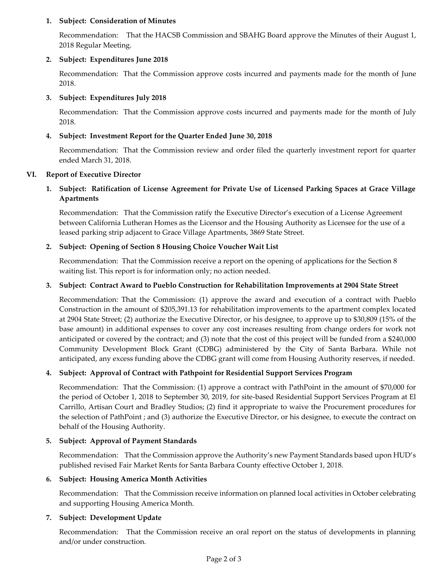### **1. Subject: Consideration of Minutes**

[Recommendation: That the HACSB Commission and SBAHG Board approve the Minutes of their August 1,](https://hacsb.org/download/meetings_2018/items/09_september/Item-V.1.pdf)  2018 Regular Meeting.

# **2. Subject: Expenditures June 2018**

[Recommendation: That the Commission approve costs incurred and payments made for the month of June](https://hacsb.org/download/meetings_2018/items/09_september/Item-V.2.pdf) 2018.

### **3. Subject: Expenditures July 2018**

[Recommendation: That the Commission approve costs incurred and payments made for the month of July](https://hacsb.org/download/meetings_2018/items/09_september/Item-V.3.pdf) 2018.

### **4. Subject: Investment Report for the Quarter Ended June 30, 2018**

[Recommendation: That the Commission review and order filed the quarterly investment report for quarter](https://hacsb.org/download/meetings_2018/items/09_september/Item-V.4.pdf)  ended March 31, 2018.

### **VI. Report of Executive Director**

# **1. [Subject: Ratification of License Agreement for Private Use of Licensed Parking Spaces at Grace Village](https://hacsb.org/download/meetings_2018/items/09_september/Item-VI.1.pdf)  Apartments**

Recommendation: That the Commission ratify the Executive Director's execution of a License Agreement between California Lutheran Homes as the Licensor and the Housing Authority as Licensee for the use of a leased parking strip adjacent to Grace Village Apartments, 3869 State Street.

# **[2. Subject: Opening of Section 8 Housing Choice Voucher Wait List](https://hacsb.org/download/meetings_2018/items/09_september/Item-VI.2.pdf)**

Recommendation: That the Commission receive a report on the opening of applications for the Section 8 waiting list. This report is for information only; no action needed.

### **[3. Subject: Contract Award to Pueblo Construction for Rehabilitation Improvements at 2904 State Street](https://hacsb.org/download/meetings_2018/items/09_september/Item-VI.3.pdf)**

Recommendation: That the Commission: (1) approve the award and execution of a contract with Pueblo Construction in the amount of \$205,391.13 for rehabilitation improvements to the apartment complex located at 2904 State Street; (2) authorize the Executive Director, or his designee, to approve up to \$30,809 (15% of the base amount) in additional expenses to cover any cost increases resulting from change orders for work not anticipated or covered by the contract; and (3) note that the cost of this project will be funded from a \$240,000 Community Development Block Grant (CDBG) administered by the City of Santa Barbara. While not anticipated, any excess funding above the CDBG grant will come from Housing Authority reserves, if needed.

# **[4. Subject: Approval of Contract with Pathpoint for Residential Support Services Program](https://hacsb.org/download/meetings_2018/items/09_september/Item-VI.4.pdf)**

Recommendation: That the Commission: (1) approve a contract with PathPoint in the amount of \$70,000 for the period of October 1, 2018 to September 30, 2019, for site-based Residential Support Services Program at El Carrillo, Artisan Court and Bradley Studios; (2) find it appropriate to waive the Procurement procedures for the selection of PathPoint ; and (3) authorize the Executive Director, or his designee, to execute the contract on behalf of the Housing Authority.

#### **[5. Subject: Approval of Payment Standards](https://hacsb.org/download/meetings_2018/items/09_september/Item-VI.5.pdf)**

Recommendation: That the Commission approve the Authority's new Payment Standards based upon HUD's published revised Fair Market Rents for Santa Barbara County effective October 1, 2018.

#### **[6. Subject: Housing America Month Activities](https://hacsb.org/download/meetings_2018/items/09_september/Item-VI.6.pdf)**

Recommendation: That the Commission receive information on planned local activities in October celebrating and supporting Housing America Month.

#### **7. Subject: Development Update**

Recommendation: That the Commission receive an oral report on the status of developments in planning and/or under construction.